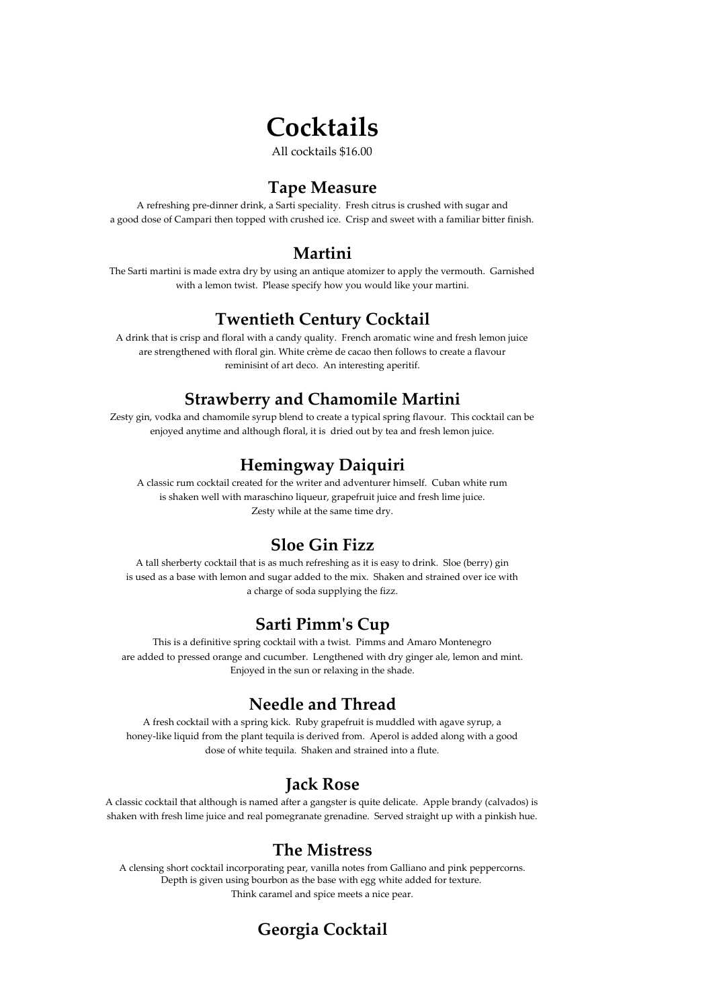# **Cocktails**

All cocktails \$16.00

#### **Tape Measure**

A refreshing pre‐dinner drink, a Sarti speciality. Fresh citrus is crushed with sugar and a good dose of Campari then topped with crushed ice. Crisp and sweet with a familiar bitter finish.

#### **Martini**

The Sarti martini is made extra dry by using an antique atomizer to apply the vermouth. Garnished with a lemon twist. Please specify how you would like your martini.

#### **Twentieth Century Cocktail**

A drink that is crisp and floral with a candy quality. French aromatic wine and fresh lemon juice are strengthened with floral gin. White crème de cacao then follows to create a flavour reminisint of art deco. An interesting aperitif.

## **Strawberry and Chamomile Martini**

Zesty gin, vodka and chamomile syrup blend to create a typical spring flavour. This cocktail can be enjoyed anytime and although floral, it is dried out by tea and fresh lemon juice.

## **Hemingway Daiquiri**

A classic rum cocktail created for the writer and adventurer himself. Cuban white rum is shaken well with maraschino liqueur, grapefruit juice and fresh lime juice. Zesty while at the same time dry.

## **Sloe Gin Fizz**

a charge of soda supplying the fizz. A tall sherberty cocktail that is as much refreshing as it is easy to drink. Sloe (berry) gin is used as a base with lemon and sugar added to the mix. Shaken and strained over ice with

# **Sarti Pimmʹs Cup**

This is a definitive spring cocktail with a twist. Pimms and Amaro Montenegro are added to pressed orange and cucumber. Lengthened with dry ginger ale, lemon and mint. Enjoyed in the sun or relaxing in the shade.

## **Needle and Thread**

A fresh cocktail with a spring kick. Ruby grapefruit is muddled with agave syrup, a honey-like liquid from the plant tequila is derived from. Aperol is added along with a good dose of white tequila. Shaken and strained into a flute.

# **Jack Rose**

A classic cocktail that although is named after a gangster is quite delicate. Apple brandy (calvados) is shaken with fresh lime juice and real pomegranate grenadine. Served straight up with a pinkish hue.

#### **The Mistress**

A clensing short cocktail incorporating pear, vanilla notes from Galliano and pink peppercorns. Depth is given using bourbon as the base with egg white added for texture. Think caramel and spice meets a nice pear.

# **Georgia Cocktail**